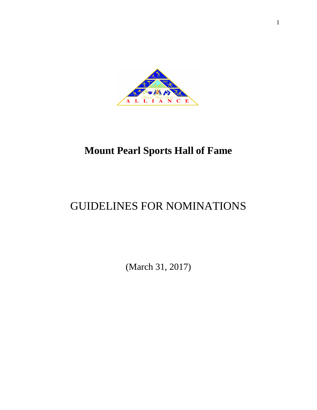

## **Mount Pearl Sports Hall of Fame**

# GUIDELINES FOR NOMINATIONS

(March 31, 2017)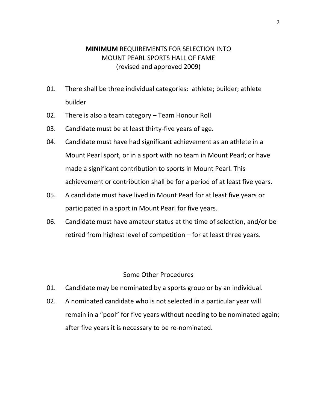## **MINIMUM** REQUIREMENTS FOR SELECTION INTO MOUNT PEARL SPORTS HALL OF FAME (revised and approved 2009)

- 01. There shall be three individual categories: athlete; builder; athlete builder
- 02. There is also a team category Team Honour Roll
- 03. Candidate must be at least thirty-five years of age.
- 04. Candidate must have had significant achievement as an athlete in a Mount Pearl sport, or in a sport with no team in Mount Pearl; or have made a significant contribution to sports in Mount Pearl. This achievement or contribution shall be for a period of at least five years.
- 05. A candidate must have lived in Mount Pearl for at least five years or participated in a sport in Mount Pearl for five years.
- 06. Candidate must have amateur status at the time of selection, and/or be retired from highest level of competition – for at least three years.

#### Some Other Procedures

- 01. Candidate may be nominated by a sports group or by an individual.
- 02. A nominated candidate who is not selected in a particular year will remain in a "pool" for five years without needing to be nominated again; after five years it is necessary to be re-nominated.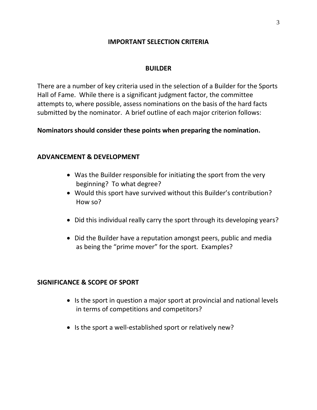### **IMPORTANT SELECTION CRITERIA**

#### **BUILDER**

There are a number of key criteria used in the selection of a Builder for the Sports Hall of Fame. While there is a significant judgment factor, the committee attempts to, where possible, assess nominations on the basis of the hard facts submitted by the nominator. A brief outline of each major criterion follows:

#### **Nominators should consider these points when preparing the nomination.**

#### **ADVANCEMENT & DEVELOPMENT**

- Was the Builder responsible for initiating the sport from the very beginning? To what degree?
- Would this sport have survived without this Builder's contribution? How so?
- Did this individual really carry the sport through its developing years?
- Did the Builder have a reputation amongst peers, public and media as being the "prime mover" for the sport. Examples?

#### **SIGNIFICANCE & SCOPE OF SPORT**

- Is the sport in question a major sport at provincial and national levels in terms of competitions and competitors?
- Is the sport a well-established sport or relatively new?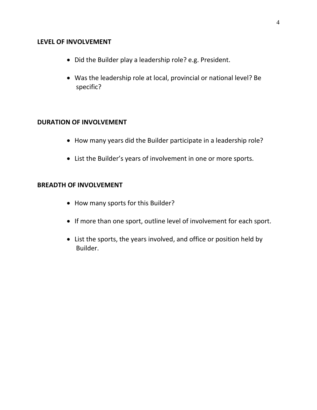#### **LEVEL OF INVOLVEMENT**

- Did the Builder play a leadership role? e.g. President.
- Was the leadership role at local, provincial or national level? Be specific?

#### **DURATION OF INVOLVEMENT**

- How many years did the Builder participate in a leadership role?
- List the Builder's years of involvement in one or more sports.

#### **BREADTH OF INVOLVEMENT**

- How many sports for this Builder?
- If more than one sport, outline level of involvement for each sport.
- List the sports, the years involved, and office or position held by Builder.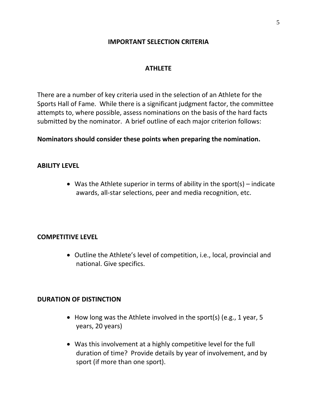### **IMPORTANT SELECTION CRITERIA**

#### **ATHLETE**

There are a number of key criteria used in the selection of an Athlete for the Sports Hall of Fame. While there is a significant judgment factor, the committee attempts to, where possible, assess nominations on the basis of the hard facts submitted by the nominator. A brief outline of each major criterion follows:

**Nominators should consider these points when preparing the nomination.** 

#### **ABILITY LEVEL**

• Was the Athlete superior in terms of ability in the sport(s) – indicate awards, all-star selections, peer and media recognition, etc.

#### **COMPETITIVE LEVEL**

• Outline the Athlete's level of competition, i.e., local, provincial and national. Give specifics.

#### **DURATION OF DISTINCTION**

- How long was the Athlete involved in the sport(s) (e.g., 1 year, 5 years, 20 years)
- Was this involvement at a highly competitive level for the full duration of time? Provide details by year of involvement, and by sport (if more than one sport).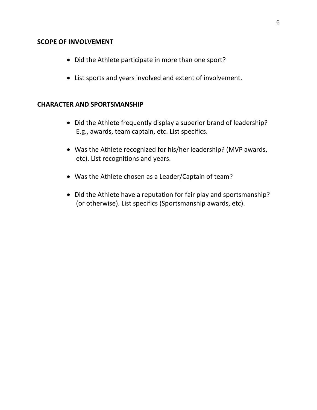#### **SCOPE OF INVOLVEMENT**

- Did the Athlete participate in more than one sport?
- List sports and years involved and extent of involvement.

## **CHARACTER AND SPORTSMANSHIP**

- Did the Athlete frequently display a superior brand of leadership? E.g., awards, team captain, etc. List specifics.
- Was the Athlete recognized for his/her leadership? (MVP awards, etc). List recognitions and years.
- Was the Athlete chosen as a Leader/Captain of team?
- Did the Athlete have a reputation for fair play and sportsmanship? (or otherwise). List specifics (Sportsmanship awards, etc).